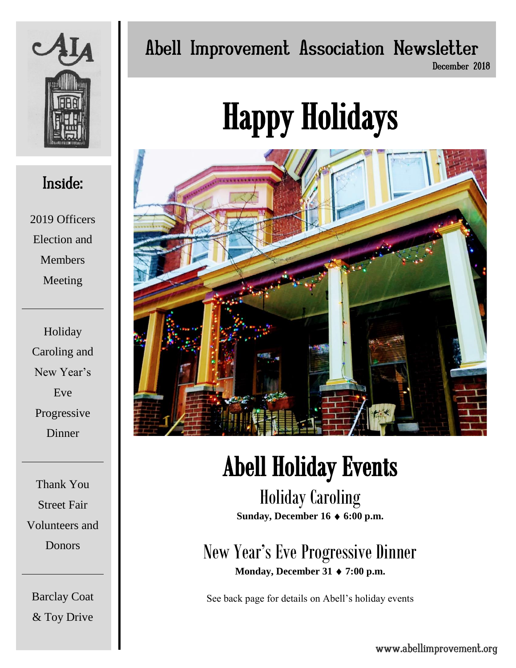

### Inside:

2019 Officers Election and Members Meeting

Holiday Caroling and New Year's Eve Progressive Dinner

Thank You Street Fair Volunteers and Donors

Barclay Coat & Toy Drive

## Abell Improvement Association Newsletter

December 2018

# Happy Holidays



## Abell Holiday Events

Holiday Caroling **Sunday, December 16 6:00 p.m.**

New Year's Eve Progressive Dinner **Monday, December 31 ♦ 7:00 p.m.** 

See back page for details on Abell's holiday events

www.abellimprovement.org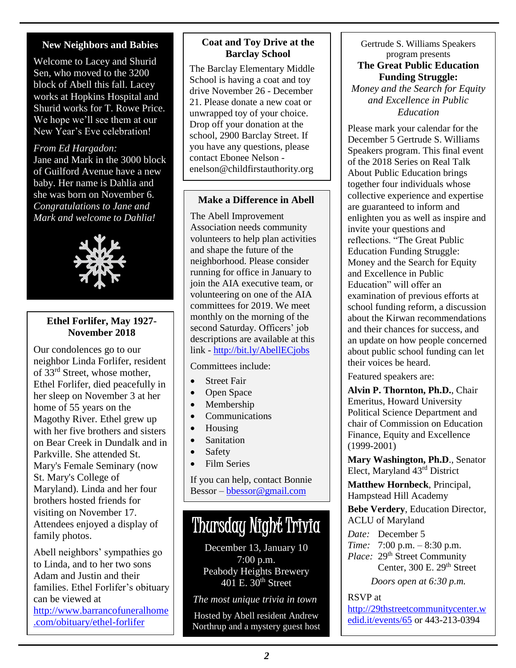#### **New Neighbors and Babies**

Welcome to Lacey and Shurid Sen, who moved to the 3200 block of Abell this fall. Lacey works at Hopkins Hospital and Shurid works for T. Rowe Price. We hope we'll see them at our New Year's Eve celebration!

#### *From Ed Hargadon:*

Jane and Mark in the 3000 block of Guilford Avenue have a new baby. Her name is Dahlia and she was born on November 6. *Congratulations to Jane and Mark and welcome to Dahlia!*



#### **Ethel Forlifer, May 1927- November 2018**

Our condolences go to our neighbor Linda Forlifer, resident of 33rd Street, whose mother, Ethel Forlifer, died peacefully in her sleep on November 3 at her home of 55 years on the Magothy River. Ethel grew up with her five brothers and sisters on Bear Creek in Dundalk and in Parkville. She attended St. Mary's Female Seminary (now St. Mary's College of Maryland). Linda and her four brothers hosted friends for visiting on November 17. Attendees enjoyed a display of family photos.

Abell neighbors' sympathies go to Linda, and to her two sons Adam and Justin and their families. Ethel Forlifer's obituary can be viewed at [http://www.barrancofuneralhome](http://www.barrancofuneralhome.com/obituary/ethel-forlifer) [.com/obituary/ethel-forlifer](http://www.barrancofuneralhome.com/obituary/ethel-forlifer)

#### **Coat and Toy Drive at the Barclay School**

The Barclay Elementary Middle School is having a coat and toy drive November 26 - December 21. Please donate a new coat or unwrapped toy of your choice. Drop off your donation at the school, 2900 Barclay Street. If you have any questions, please contact Ebonee Nelson [enelson@childfirstauthority.org](mailto:enelson@childfirstauthority.org)

#### **Make a Difference in Abell**

The Abell Improvement Association needs community volunteers to help plan activities and shape the future of the neighborhood. Please consider running for office in January to join the AIA executive team, or volunteering on one of the AIA committees for 2019. We meet monthly on the morning of the second Saturday. Officers' job descriptions are available at this link - <http://bit.ly/AbellECjobs>

#### Committees include:

- Street Fair
- Open Space
- Membership
- Communications
- Housing
- Sanitation
- Safety
- Film Series

If you can help, contact Bonnie Bessor – [bbessor@gmail.com](mailto:bbessor@gmail.com)

## Thursday Night Trivia

December 13, January 10 7:00 p.m. Peabody Heights Brewery 401 E.  $30<sup>th</sup>$  Street

*The most unique trivia in town*

Hosted by Abell resident Andrew Northrup and a mystery guest host

#### Gertrude S. Williams Speakers program presents

#### **The Great Public Education Funding Struggle:**

*Money and the Search for Equity and Excellence in Public Education*

Please mark your calendar for the December 5 Gertrude S. Williams Speakers program. This final event of the 2018 Series on Real Talk About Public Education brings together four individuals whose collective experience and expertise are guaranteed to inform and enlighten you as well as inspire and invite your questions and reflections. "The Great Public Education Funding Struggle: Money and the Search for Equity and Excellence in Public Education" will offer an examination of previous efforts at school funding reform, a discussion about the Kirwan recommendations and their chances for success, and an update on how people concerned about public school funding can let their voices be heard.

Featured speakers are:

**Alvin P. Thornton, Ph.D.**, Chair Emeritus, Howard University Political Science Department and chair of Commission on Education Finance, Equity and Excellence (1999-2001)

**Mary Washington, Ph.D**., Senator Elect, Maryland 43rd District

**Matthew Hornbeck**, Principal, Hampstead Hill Academy

**Bebe Verdery**, Education Director, ACLU of Maryland

*Date:* December 5 *Time:* 7:00 p.m. – 8:30 p.m. *Place:* 29<sup>th</sup> Street Community Center,  $300$  E.  $29<sup>th</sup>$  Street

*Doors open at 6:30 p.m.*

RSVP at [http://29thstreetcommunitycenter.w](http://29thstreetcommunitycenter.wedid.it/events/65) [edid.it/events/65](http://29thstreetcommunitycenter.wedid.it/events/65) or 443-213-0394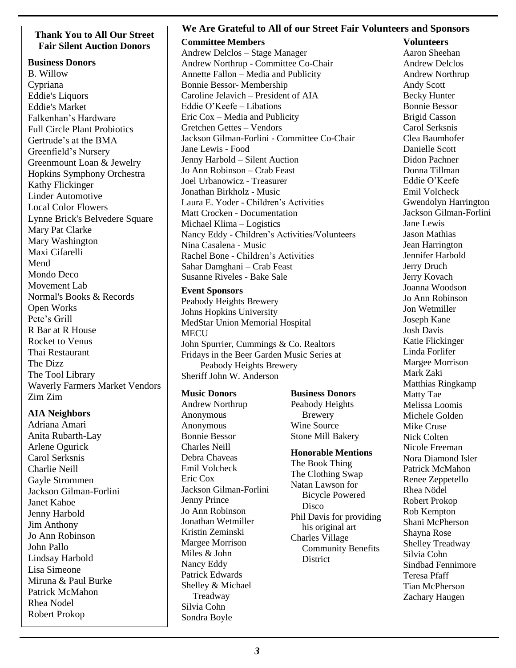## **Fair Silent Auction Donors**

**Business Donors** B. Willow Cypriana Eddie's Liquors Eddie's Market Falkenhan's Hardware Full Circle Plant Probiotics Gertrude's at the BMA Greenfield's Nursery Greenmount Loan & Jewelry Hopkins Symphony Orchestra Kathy Flickinger Linder Automotive Local Color Flowers Lynne Brick's Belvedere Square Mary Pat Clarke Mary Washington Maxi Cifarelli Mend Mondo Deco Movement Lab Normal's Books & Records Open Works Pete's Grill R Bar at R House Rocket to Venus Thai Restaurant The Dizz The Tool Library Waverly Farmers Market Vendors Zim Zim

#### **AIA Neighbors**

Adriana Amari Anita Rubarth-Lay Arlene Ogurick Carol Serksnis Charlie Neill Gayle Strommen Jackson Gilman-Forlini Janet Kahoe Jenny Harbold Jim Anthony Jo Ann Robinson John Pallo Lindsay Harbold Lisa Simeone Miruna & Paul Burke Patrick McMahon Rhea Nodel Robert Prokop

#### **We Are Grateful to All of our Street Fair Volunteers and Sponsors Thank You to All Our Street**

**Committee Members**  Andrew Delclos – Stage Manager Andrew Northrup - Committee Co-Chair Annette Fallon – Media and Publicity Bonnie Bessor- Membership Caroline Jelavich – President of AIA Eddie O'Keefe – Libations Eric Cox – Media and Publicity Gretchen Gettes – Vendors Jackson Gilman-Forlini - Committee Co-Chair Jane Lewis - Food Jenny Harbold – Silent Auction Jo Ann Robinson – Crab Feast Joel Urbanowicz - Treasurer Jonathan Birkholz - Music Laura E. Yoder - Children's Activities Matt Crocken - Documentation Michael Klima – Logistics Nancy Eddy - Children's Activities/Volunteers Nina Casalena - Music Rachel Bone - Children's Activities Sahar Damghani – Crab Feast Susanne Riveles - Bake Sale

**Event Sponsors** Peabody Heights Brewery Johns Hopkins University MedStar Union Memorial Hospital **MECU** John Spurrier, Cummings & Co. Realtors Fridays in the Beer Garden Music Series at Peabody Heights Brewery Sheriff John W. Anderson

#### **Music Donors**

Andrew Northrup Anonymous Anonymous Bonnie Bessor Charles Neill Debra Chaveas Emil Volcheck Eric Cox Jackson Gilman-Forlini Jenny Prince Jo Ann Robinson Jonathan Wetmiller Kristin Zeminski Margee Morrison Miles & John Nancy Eddy Patrick Edwards Shelley & Michael Treadway Silvia Cohn Sondra Boyle

#### **Business Donors**

Peabody Heights Brewery Wine Source Stone Mill Bakery

#### **Honorable Mentions**

The Book Thing The Clothing Swap Natan Lawson for Bicycle Powered **Disco** Phil Davis for providing his original art Charles Village Community Benefits **District** 

#### **Volunteers**

Aaron Sheehan Andrew Delclos Andrew Northrup Andy Scott Becky Hunter Bonnie Bessor Brigid Casson Carol Serksnis Clea Baumhofer Danielle Scott Didon Pachner Donna Tillman Eddie O'Keefe Emil Volcheck Gwendolyn Harrington Jackson Gilman-Forlini Jane Lewis Jason Mathias Jean Harrington Jennifer Harbold Jerry Druch Jerry Kovach Joanna Woodson Jo Ann Robinson Jon Wetmiller Joseph Kane Josh Davis Katie Flickinger Linda Forlifer Margee Morrison Mark Zaki Matthias Ringkamp Matty Tae Melissa Loomis Michele Golden Mike Cruse Nick Colten Nicole Freeman Nora Diamond Isler Patrick McMahon Renee Zeppetello Rhea Nödel Robert Prokop Rob Kempton Shani McPherson Shayna Rose Shelley Treadway Silvia Cohn Sindbad Fennimore Teresa Pfaff Tian McPherson Zachary Haugen